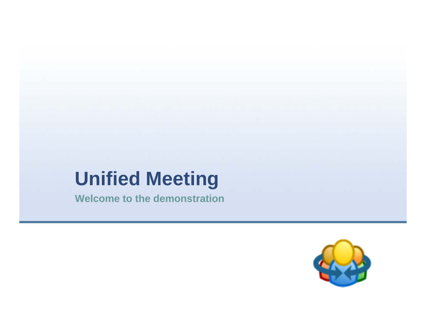## **Unified Meeting**

**Welcome to the demonstration**

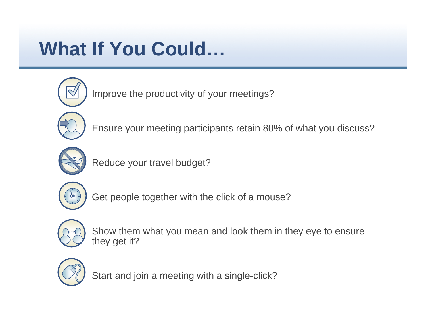## **What If You Could…**



Improve the productivity of your meetings?



Ensure your meeting participants retain 80% of what you discuss?



Reduce your travel budget?



Get people together with the click of a mouse?



 Show them what you mean and look them in they eye to ensure they get it?



Start and join a meeting with a single-click?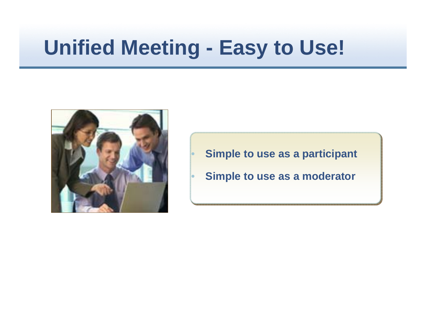# **Unified Meeting - Easy to Use!**

 $\bullet$ 

•



- **Simple to use as a participant**
- **Simple to use as a moderator**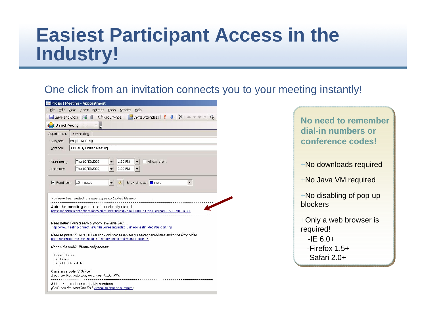### **Easiest Participant Access in the Industry!**

One click from an invitation connects you to your meeting instantly!

|                                                            | Project Meeting - Appointment                                                                                                                                                                                                                     |
|------------------------------------------------------------|---------------------------------------------------------------------------------------------------------------------------------------------------------------------------------------------------------------------------------------------------|
| Edit<br>File                                               | View Insert Format Tools<br>Help<br>Actions                                                                                                                                                                                                       |
| $\blacksquare$ Save and Close                              | $\sqrt{0}$                                                                                                                                                                                                                                        |
| Unified Meeting                                            |                                                                                                                                                                                                                                                   |
| Appointment                                                | Scheduling                                                                                                                                                                                                                                        |
| Subject:                                                   | Project Meeting                                                                                                                                                                                                                                   |
| Location:                                                  | Join using Unified Meeting                                                                                                                                                                                                                        |
| Start time:                                                | Thu 10/15/2009<br>1:30 PM<br>All day event                                                                                                                                                                                                        |
| End time:                                                  | Thu 10/15/2009<br>2:00 PM                                                                                                                                                                                                                         |
|                                                            |                                                                                                                                                                                                                                                   |
| $\overline{\mathsf{v}}$ Reminder:                          | Show time as: □ Busy<br>15 minutes<br><b>UDE</b>                                                                                                                                                                                                  |
|                                                            | You have been invited to a meeting using Unified Meeting                                                                                                                                                                                          |
|                                                            | <b>Join the meeting</b> and be automatically dialed.<br>https://lobby.mc.iconf.net/gcc/lobby/start_meeting.asp?ba=300000732&strLogin=993770&strCC=GB                                                                                              |
|                                                            | Need help? Contact tech support - available 24/7<br>http://www.meetingconnect.net/unified-meeting/index_unified-meeting-techSupport.php<br>Need to present? Install full version - only necessary for presenter capabilities and/or desktop video |
|                                                            | http://content101.mc.iconf.net/gcc_installer/install.asp?ba=300000732                                                                                                                                                                             |
| <b>United States</b><br>Toll Free i<br>Toll (303) 567-9844 | Not on the web? Phone-only access:                                                                                                                                                                                                                |

**No need to remember dial-in numbers or conference codes!**+No downloads required +No Java VM required +No disabling of pop-up blockers+Only a web browser is

required!

 $-IE 6.0+$ 

-Firefox 1.5+

-Safari 2.0+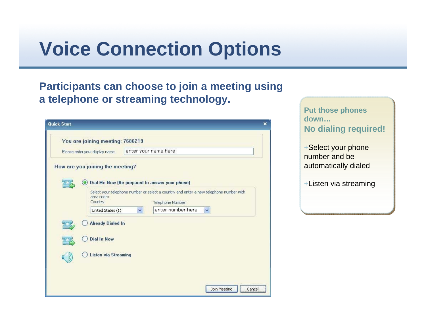### **Voice Connection Options**

#### **Participants can choose to join a meeting using a telephone or streaming technology.**

| <b>Quick Start</b> |                                                         |                                                                                                                                            | × |
|--------------------|---------------------------------------------------------|--------------------------------------------------------------------------------------------------------------------------------------------|---|
|                    | You are joining meeting: 7686219                        |                                                                                                                                            |   |
|                    | enter your name here<br>Please enter your display name: |                                                                                                                                            |   |
|                    | How are you joining the meeting?                        | Dial Me Now (Be prepared to answer your phone)                                                                                             |   |
|                    | area code:<br>Country:<br>United States (1)             | Select your telephone number or select a country and enter a new telephone number with<br>Telephone Number:<br>enter number here<br>×<br>v |   |
|                    | <b>Already Dialed In</b><br><b>Dial In Now</b>          |                                                                                                                                            |   |
|                    | <b>Listen via Streaming</b>                             |                                                                                                                                            |   |
|                    |                                                         | Join Meeting<br>Cancel                                                                                                                     |   |

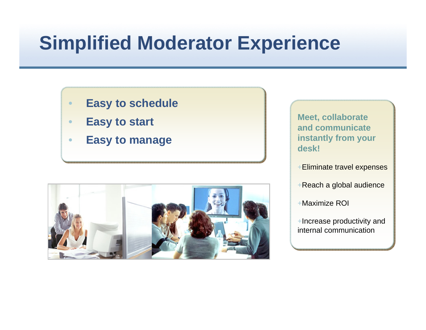## **Simplified Moderator Experience**

#### **Easy to schedule**

- •**Easy to start**
- $\bullet$ **Easy to manage**



**Meet, collaborate and communicate instantly from your desk!**

+Eliminate travel expenses

+Reach a global audience

+Maximize ROI

+Increase productivity and internal communication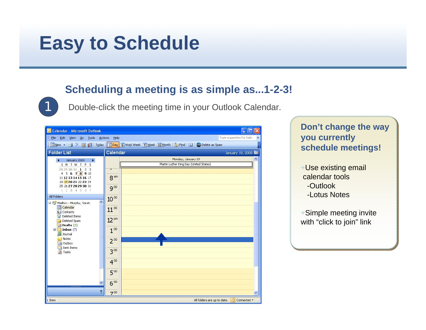### **Easy to Schedule**

1

#### **Scheduling a meeting is as simple as...1-2-3!**

Double-click the meeting time in your Outlook Calendar.

| Calendar - Microsoft Outlook                                                                                                                                                                                                                                       |                                                                                                                                                                                                                                                                    | IE<br>н                                     |
|--------------------------------------------------------------------------------------------------------------------------------------------------------------------------------------------------------------------------------------------------------------------|--------------------------------------------------------------------------------------------------------------------------------------------------------------------------------------------------------------------------------------------------------------------|---------------------------------------------|
| File Edit<br>Go Tools Actions<br>View                                                                                                                                                                                                                              | He                                                                                                                                                                                                                                                                 | Type a question for help                    |
|                                                                                                                                                                                                                                                                    | $\frac{1}{2}$ Mew $\star$ $\ket{\triangleleft}\times\ket{\square}_{\mathbb{H}}$ (3) $\ket{\top_{\mathsf{Q}}\mathsf{day}}$ (5) Work Week (7) Week (3) Month $\ket{\diamondleft\circ}$ Find $\ket{\square}\ket{\overset{\bullet\bullet}{\mathsf{W}}}$ Delete as Spam |                                             |
| <b>Folder List</b>                                                                                                                                                                                                                                                 | Calendar                                                                                                                                                                                                                                                           | January 19, 2009 <b>Fill</b>                |
| January 2009<br>SM TW TFS<br>28 29 30 31 1 2 3<br>4 5 6 7 8 9 10<br>11 12 13 14 15 16 17<br>18 19 20 21 22 23 24<br>25 26 27 28 29 30 31<br>1 2 3 4 5 6 7<br><b>All Folders</b><br>$\hat{\phantom{a}}$<br>Mailbox - Murphy, Sarah<br>Calendar<br><b>S</b> Contacts | Monday, January 19<br>Martin Luther King Day (United States)<br>8 <sup>am</sup><br>$9^{00}$<br>10 <sup>00</sup><br>$11^{00}$                                                                                                                                       | ۸                                           |
| Deleted Items<br>Deleted Spam<br>$D$ rafts $[2]$<br>$\mathbb{E}$ Inbox (7)<br>Journal<br>Ξ<br>Notes<br>Outbox<br>Sent Items<br><b>Tasks</b>                                                                                                                        | 12 pm<br>1 <sup>00</sup><br>$2^{00}$<br>$3^{00}$                                                                                                                                                                                                                   |                                             |
| $\ddot{\bm{z}}$                                                                                                                                                                                                                                                    | $4^{00}$<br>5 <sup>00</sup><br>6 <sup>00</sup><br>700                                                                                                                                                                                                              | ×                                           |
| 1 Item                                                                                                                                                                                                                                                             |                                                                                                                                                                                                                                                                    | All folders are up to date.   O Connected * |

#### **Don't change the way you currently schedule meetings!**

- +Use existing email calendar tools-Outlook-Lotus Notes
- +Simple meeting invite with "click to join" link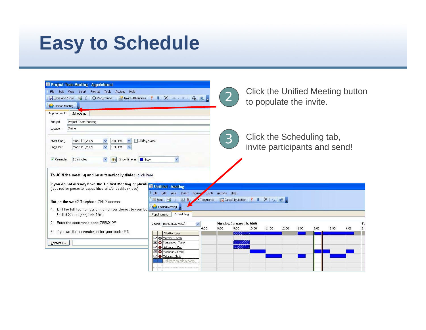## **Easy to Schedule**

| <b>Project Team Meeting - Appointment</b>                                                                                                                                                                                                                                                                                                             |                                                                                     |      |                         |                                  |                                  |       |      |      |      |      |           |
|-------------------------------------------------------------------------------------------------------------------------------------------------------------------------------------------------------------------------------------------------------------------------------------------------------------------------------------------------------|-------------------------------------------------------------------------------------|------|-------------------------|----------------------------------|----------------------------------|-------|------|------|------|------|-----------|
| Edit View Insert Format Tools Actions Help<br>File                                                                                                                                                                                                                                                                                                    |                                                                                     |      |                         |                                  | Click the Unified Meeting button |       |      |      |      |      |           |
|                                                                                                                                                                                                                                                                                                                                                       |                                                                                     |      | $\overline{\mathbf{2}}$ |                                  |                                  |       |      |      |      |      |           |
| Unified Meeting                                                                                                                                                                                                                                                                                                                                       |                                                                                     |      |                         |                                  | to populate the invite.          |       |      |      |      |      |           |
| Scheduling<br>Appointment                                                                                                                                                                                                                                                                                                                             |                                                                                     |      |                         |                                  |                                  |       |      |      |      |      |           |
| Project Team Meeting<br>Subject:                                                                                                                                                                                                                                                                                                                      |                                                                                     |      |                         |                                  |                                  |       |      |      |      |      |           |
| Online<br>Location:                                                                                                                                                                                                                                                                                                                                   |                                                                                     |      |                         |                                  |                                  |       |      |      |      |      |           |
|                                                                                                                                                                                                                                                                                                                                                       |                                                                                     |      |                         |                                  |                                  |       |      |      |      |      |           |
| All day event<br>Mon 1/19/2009<br>2:00 PM<br>Start time:<br>$\checkmark$<br>$\checkmark$                                                                                                                                                                                                                                                              |                                                                                     |      |                         |                                  | Click the Scheduling tab,        |       |      |      |      |      |           |
| Mon 1/19/2009<br>$\checkmark$<br>2:30 PM<br>$\checkmark$<br>End time:                                                                                                                                                                                                                                                                                 |                                                                                     |      |                         |                                  | invite participants and send!    |       |      |      |      |      |           |
| Show time as: Busy<br>$\triangledown$ Reminder:<br>15 minutes<br>$\ddotmark$<br><b>CDE</b><br>To JOIN the meeting and be automatically dialed, click here<br>If you do not already have the Unified Meeting application in Untitled - Meeting<br>(required for presenter capabilities and/or desktop video)<br>Not on the web? Telephone-ONLY access: | $\ddot{\phantom{1}}$<br>View Insert Format<br>File<br>Edit<br><b>El Send</b><br>国 & |      | Tools Actions Help      |                                  |                                  |       |      |      |      |      |           |
| 1. Dial the toll free number or the number closest to your loc<br>United States (866) 256-4751                                                                                                                                                                                                                                                        | Unified Meeting<br>Scheduling<br>Appointment                                        |      |                         |                                  |                                  |       |      |      |      |      |           |
| Enter the conference code: 7686219#                                                                                                                                                                                                                                                                                                                   |                                                                                     |      |                         |                                  |                                  |       |      |      |      |      |           |
| 2.                                                                                                                                                                                                                                                                                                                                                    | $\checkmark$<br>100% (Day View)<br>Zoom:                                            | 4:00 | 8:00                    | Monday, January 19, 2009<br>9:00 | 10:00<br>11:00                   | 12:00 | 1:00 | 2:00 | 3:00 | 4:00 | Tu<br>8:0 |
| 3. If you are the moderator, enter your leader PIN.                                                                                                                                                                                                                                                                                                   | All Attendees                                                                       |      |                         | ////////                         |                                  |       |      |      |      |      |           |
|                                                                                                                                                                                                                                                                                                                                                       | □ ● Murphy, Sarah                                                                   |      |                         |                                  |                                  |       |      |      |      |      |           |
| Contacts                                                                                                                                                                                                                                                                                                                                              | Terranova, Tony<br>DeFranco, Dan                                                    |      |                         |                                  |                                  |       |      |      |      |      |           |
|                                                                                                                                                                                                                                                                                                                                                       | <b>El O</b> Makanani, Elyse                                                         |      |                         |                                  |                                  |       |      |      |      |      |           |
|                                                                                                                                                                                                                                                                                                                                                       | G McLean, Chris                                                                     |      |                         |                                  |                                  |       |      |      |      |      |           |
|                                                                                                                                                                                                                                                                                                                                                       | lick here to add a name                                                             |      |                         |                                  |                                  |       |      |      |      |      |           |
|                                                                                                                                                                                                                                                                                                                                                       |                                                                                     |      |                         |                                  |                                  |       |      |      |      |      |           |
|                                                                                                                                                                                                                                                                                                                                                       |                                                                                     |      |                         |                                  |                                  |       |      |      |      |      |           |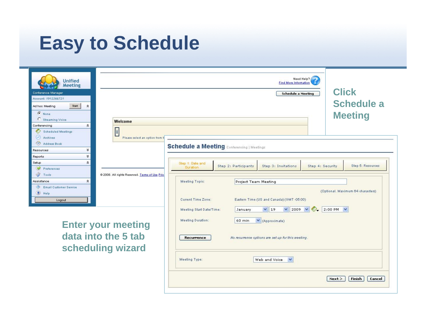## **Easy to Schedule**

| <b>Unified</b><br><b>Meeting</b><br>Conference Manager<br>Account: 1912266721<br>Ad hoc Meeting<br>Start<br>$\hat{\mathbf{x}}$<br>C None<br>C Streaming Voice<br>$\hat{z}$<br>Conferencing<br>Scheduled Meetings<br>(a) Archives   | <b>Welcome</b><br>İ<br>Please select an option from t                 | Need Help?<br><b>Find More Information</b><br><b>Schedule a Meeting</b>                                                                                                                                                                                                 | <b>Click</b><br><b>Schedule a</b><br><b>Meeting</b>    |
|------------------------------------------------------------------------------------------------------------------------------------------------------------------------------------------------------------------------------------|-----------------------------------------------------------------------|-------------------------------------------------------------------------------------------------------------------------------------------------------------------------------------------------------------------------------------------------------------------------|--------------------------------------------------------|
| Address Book<br>¥<br>Resources<br>$\checkmark$<br>Reports<br>$\hat{z}$<br>Setup<br>✅<br>Preferences<br>$\frac{1}{2}$<br>Tools<br>$\hat{z}$<br>Assistance<br>$\sigma_{\cal P}$<br><b>Email Customer Service</b><br>? Help<br>Logout | @ 2008. All rights Reserved. Terms of Use Priv                        | <b>Schedule a Meeting Conferencing   Meetings</b><br>Step 1: Date and<br>Step 2: Participants<br>Step 3: Invitations<br>Step 4: Security<br>Duration<br>Meeting Topic:<br>Project Team Meeting<br>Eastern Time (US and Canada) (GMT-05:00)<br><b>Current Time Zone:</b> | Step 5: Resources<br>(Optional, Maximum 64 characters) |
|                                                                                                                                                                                                                                    | <b>Enter your meeting</b><br>data into the 5 tab<br>scheduling wizard | $V$ 19<br>$\vee$ 2009 $\vee$<br>Meeting Start Date/Time:<br>January<br>Meeting Duration:<br>60 min<br>V (Approximate)<br><b>Recurrence</b><br>No recurrence options are set up for this meeting.<br>Meeting Type:<br>$\checkmark$<br>Web and Voice                      | 2:00 PM<br>Next<br><b>Finish</b><br>Cancel             |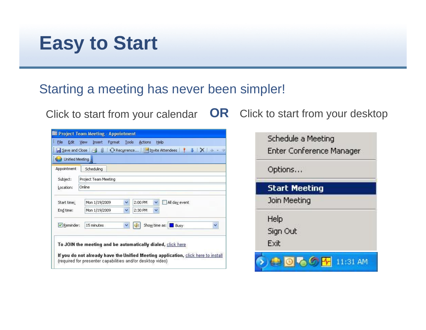### **Easy to Start**

### Starting a meeting has never been simpler!

Click to start from your calendar **OR** Click to start from your desktop

|                 | <b>III</b> Project Team Meeting - Appointment                                                                                                                                                                  |
|-----------------|----------------------------------------------------------------------------------------------------------------------------------------------------------------------------------------------------------------|
| File<br>Edit    | Tools<br>View<br>Insert<br>Help<br>Format<br><b>Actions</b>                                                                                                                                                    |
| Save and Close  | Recurrence Invite Attendees<br>$\mathbf{0}$<br>$X^*$                                                                                                                                                           |
| Unified Meeting |                                                                                                                                                                                                                |
| Appointment     | Scheduling                                                                                                                                                                                                     |
| Subject:        | Project Team Meeting                                                                                                                                                                                           |
| Location:       | Online                                                                                                                                                                                                         |
| Start time:     | 2:00 PM<br>All day event<br>Mon 1/19/2009<br>٧<br>٧                                                                                                                                                            |
| End time:       | Mon 1/19/2009<br>2:30 PM<br>×<br>×                                                                                                                                                                             |
| Reminder:       | Show time as:<br>15 minutes<br>Busy                                                                                                                                                                            |
|                 | To JOIN the meeting and be automatically dialed, click here<br>If you do not already have the Unified Meeting application, click here to install<br>(required for presenter capabilities and/or desktop video) |

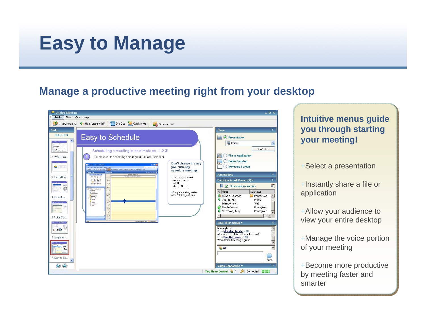### **Easy to Manage**

#### **Manage a productive meeting right from your desktop**

|                                                                                                                                                                                                                                                                                                                                                                                                                                                                                                                                                                                                                                                                                                                                                                                                                                                                                                                                                                                                                                                                                                                                                                                                                                                                                                                                                                                                                                                                                                                                                                            | $  \times$                                                                                                                                                                                                                                                                                                                                                                                                                                                                                                                                                                                                                                                      |
|----------------------------------------------------------------------------------------------------------------------------------------------------------------------------------------------------------------------------------------------------------------------------------------------------------------------------------------------------------------------------------------------------------------------------------------------------------------------------------------------------------------------------------------------------------------------------------------------------------------------------------------------------------------------------------------------------------------------------------------------------------------------------------------------------------------------------------------------------------------------------------------------------------------------------------------------------------------------------------------------------------------------------------------------------------------------------------------------------------------------------------------------------------------------------------------------------------------------------------------------------------------------------------------------------------------------------------------------------------------------------------------------------------------------------------------------------------------------------------------------------------------------------------------------------------------------------|-----------------------------------------------------------------------------------------------------------------------------------------------------------------------------------------------------------------------------------------------------------------------------------------------------------------------------------------------------------------------------------------------------------------------------------------------------------------------------------------------------------------------------------------------------------------------------------------------------------------------------------------------------------------|
| Show View<br>Meeting<br>Help                                                                                                                                                                                                                                                                                                                                                                                                                                                                                                                                                                                                                                                                                                                                                                                                                                                                                                                                                                                                                                                                                                                                                                                                                                                                                                                                                                                                                                                                                                                                               |                                                                                                                                                                                                                                                                                                                                                                                                                                                                                                                                                                                                                                                                 |
| Dial Out<br>Quick Invite<br>Mute/Unmute All Ca Mute/Unmute Self<br>Disconnect All                                                                                                                                                                                                                                                                                                                                                                                                                                                                                                                                                                                                                                                                                                                                                                                                                                                                                                                                                                                                                                                                                                                                                                                                                                                                                                                                                                                                                                                                                          |                                                                                                                                                                                                                                                                                                                                                                                                                                                                                                                                                                                                                                                                 |
| <b>Slides</b>                                                                                                                                                                                                                                                                                                                                                                                                                                                                                                                                                                                                                                                                                                                                                                                                                                                                                                                                                                                                                                                                                                                                                                                                                                                                                                                                                                                                                                                                                                                                                              | Show<br>《                                                                                                                                                                                                                                                                                                                                                                                                                                                                                                                                                                                                                                                       |
| Slide 7 of 14<br>Easy to Schedule<br>$\hat{\phantom{a}}$<br><b>STATISTICS</b><br>$- - - -$<br>camemoran<br>Scheduling a meeting is as simple as1-2-3!<br>2. What If Yo<br>Double-click the meeting time in your Outlook Calendar.<br>Don't change the way<br><b>S Colorder Microsoft Outlook</b><br>$\sim 100$<br>you currently<br>$\frac{1}{2}$<br>the Soc pee to their amon tele<br>The city X II 63 have The Thurs and Thee There I have the Glorie and a<br>schedule meetings!<br>Folder List<br>Calendar<br>Honday, January 29.<br>$x = 3$ mary 2005<br>$x = 1$ W $1 \neq 1$<br>Martin Luther King Day (Lindwid States)<br>3. Unified Me<br>- Use existing email<br>÷<br>6.5.6.2889<br>calendar tools<br>8 <sup>m</sup><br>11121314151617<br>$\begin{array}{l} 10 \ \textcolor{red}{\textbf{19.20.21}} \ \textcolor{red}{22.23.24} \\ 25 \ \textcolor{red}{\textbf{25.27.20.29.30}} \ \textcolor{red}{21.}} \end{array}$<br>-Outlook<br>$Q^{(0)}$<br>-Lotus Notes<br>靈<br>10 <sup>86</sup><br>2 Ed Mabox - Magdy, Sarah<br>Colendar<br>$11^{\circ\circ}$<br>+Simple meeting invite<br>Bill Contacts<br>Co Deleted Bane<br>12 <sup>10</sup><br>with "click to join" link<br>Deleted Span<br>-10 Dealer (2)<br>4. Easiest Pa.<br>$1^{\infty}$<br>Debau (7)<br>Si Joana<br>Mates<br>$2^{\infty}$<br>Stert Base<br>21 September<br>$3^{10}$<br>ax:<br>$4^{00}$<br>$5^{\circ\circ}$<br>$6^\circ$<br>5. Voice Con<br>$7^{(0)}$<br>Althides are up to date.<br>Connected 1<br><b>WEIGHAM AND TWO TEST</b><br>224<br>4 月 三<br>6. Simplified<br>$\frac{1}{2}$<br>7. Easy to Sc | 圈<br>(a) Presentation<br>Demo<br>Browse<br><b>File or Application</b><br>肩<br><b>Entire Desktop</b><br>Welcome Screen<br>×<br><b>Annotations</b><br>$\hat{z}$<br>Participants: All Rooms [7] v<br>$\mathbb{R}^-$<br>п<br>Close meeting room door<br>Name<br>Status<br>Quaglia, Shannon<br>Phone/Web<br>ъ<br>7037317763<br>Phone<br>Brian Johnson<br>Web<br>Dan DeFranco<br>Phone/Web<br>τ<br>Terranova, Tony<br>Phone/Web<br>$\mathbf{r}$<br>Chat: Main Group<br>hi everybody<br>$\blacktriangle$<br>From Murphy, Sarah to All:<br>what are the totals for the sales team?<br>From Dan DeFranco to All:<br>Wow, Unified Meeting is great!<br><b>ALL</b><br>Send |
|                                                                                                                                                                                                                                                                                                                                                                                                                                                                                                                                                                                                                                                                                                                                                                                                                                                                                                                                                                                                                                                                                                                                                                                                                                                                                                                                                                                                                                                                                                                                                                            | ×<br>Voice Connection ▼<br>Connected <b>Figure</b><br>You Have Control 2 1                                                                                                                                                                                                                                                                                                                                                                                                                                                                                                                                                                                      |

#### **Intuitive menus guide you through starting your meeting!**

+Select a presentation

+Instantly share a file or application

+Allow your audience to view your entire desktop

+Manage the voice portion of your meeting

+Become more productive by meeting faster and smarter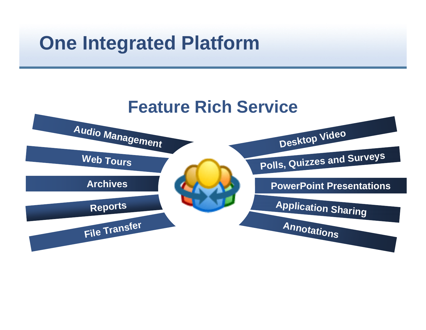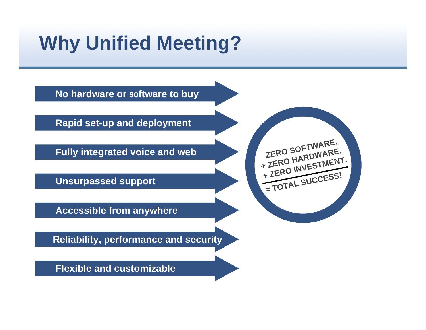## **Why Unified Meeting?**

**No hardware or software to buy**

**Rapid set-up and deployment**

**Fully integrated voice and web**

**Unsurpassed support**

**Accessible from anywhere**

**Reliability, performance and security**

**Flexible and customizable**

**ZERO** SOFTWARE. **+ ZERO** HARDWARE.<br>HARDWARE. + ZERO **INVESTMENT.**<br>+ ZERO INVESTMENT. **= TOTAL SUCCESS!**